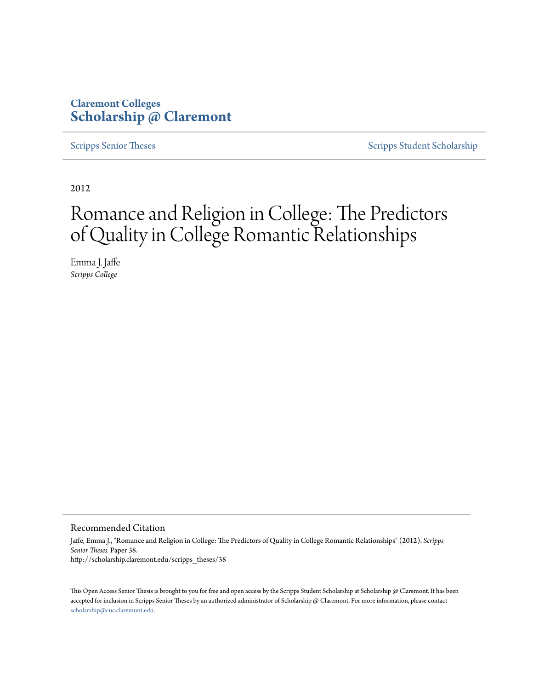## **Claremont Colleges [Scholarship @ Claremont](http://scholarship.claremont.edu)**

[Scripps Senior Theses](http://scholarship.claremont.edu/scripps_theses) [Scripps Student Scholarship](http://scholarship.claremont.edu/scripps_student)

2012

# Romance and Religion in College: The Predictors of Quality in College Romantic Relationships

Emma J. Jaffe *Scripps College*

#### Recommended Citation

Jaffe, Emma J., "Romance and Religion in College: The Predictors of Quality in College Romantic Relationships" (2012). *Scripps Senior Theses.* Paper 38. http://scholarship.claremont.edu/scripps\_theses/38

This Open Access Senior Thesis is brought to you for free and open access by the Scripps Student Scholarship at Scholarship @ Claremont. It has been accepted for inclusion in Scripps Senior Theses by an authorized administrator of Scholarship @ Claremont. For more information, please contact [scholarship@cuc.claremont.edu.](mailto:scholarship@cuc.claremont.edu)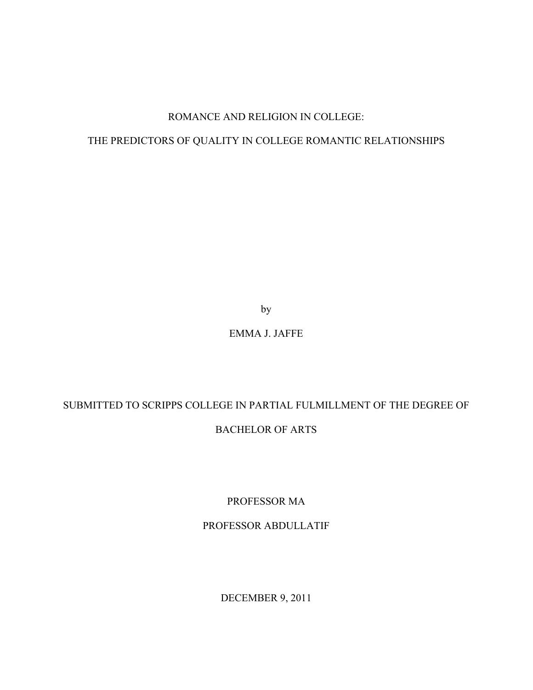## ROMANCE AND RELIGION IN COLLEGE:

## THE PREDICTORS OF QUALITY IN COLLEGE ROMANTIC RELATIONSHIPS

by

## EMMA J. JAFFE

## SUBMITTED TO SCRIPPS COLLEGE IN PARTIAL FULMILLMENT OF THE DEGREE OF BACHELOR OF ARTS

PROFESSOR MA

## PROFESSOR ABDULLATIF

DECEMBER 9, 2011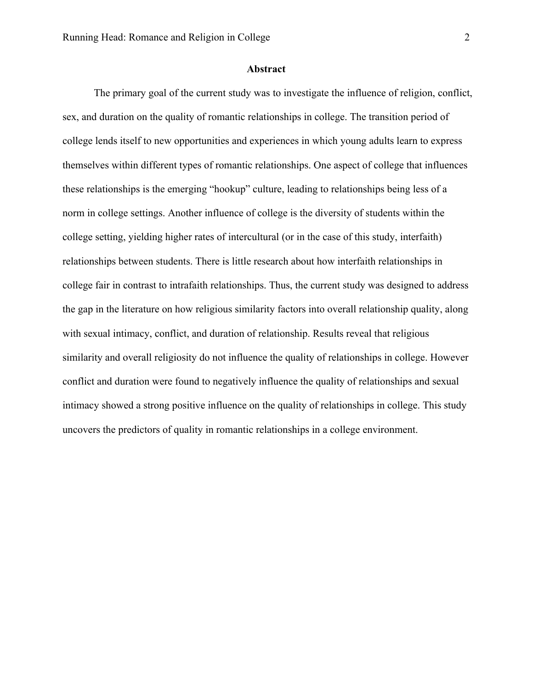#### **Abstract**

The primary goal of the current study was to investigate the influence of religion, conflict, sex, and duration on the quality of romantic relationships in college. The transition period of college lends itself to new opportunities and experiences in which young adults learn to express themselves within different types of romantic relationships. One aspect of college that influences these relationships is the emerging "hookup" culture, leading to relationships being less of a norm in college settings. Another influence of college is the diversity of students within the college setting, yielding higher rates of intercultural (or in the case of this study, interfaith) relationships between students. There is little research about how interfaith relationships in college fair in contrast to intrafaith relationships. Thus, the current study was designed to address the gap in the literature on how religious similarity factors into overall relationship quality, along with sexual intimacy, conflict, and duration of relationship. Results reveal that religious similarity and overall religiosity do not influence the quality of relationships in college. However conflict and duration were found to negatively influence the quality of relationships and sexual intimacy showed a strong positive influence on the quality of relationships in college. This study uncovers the predictors of quality in romantic relationships in a college environment.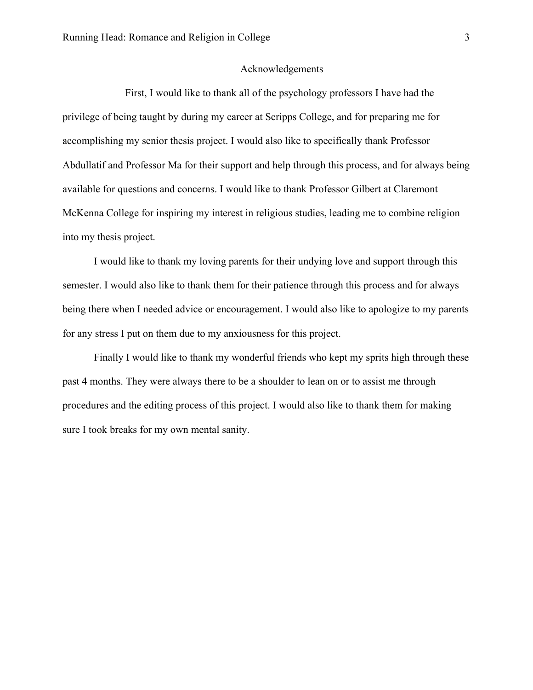## Acknowledgements

First, I would like to thank all of the psychology professors I have had the privilege of being taught by during my career at Scripps College, and for preparing me for accomplishing my senior thesis project. I would also like to specifically thank Professor Abdullatif and Professor Ma for their support and help through this process, and for always being available for questions and concerns. I would like to thank Professor Gilbert at Claremont McKenna College for inspiring my interest in religious studies, leading me to combine religion into my thesis project.

I would like to thank my loving parents for their undying love and support through this semester. I would also like to thank them for their patience through this process and for always being there when I needed advice or encouragement. I would also like to apologize to my parents for any stress I put on them due to my anxiousness for this project.

Finally I would like to thank my wonderful friends who kept my sprits high through these past 4 months. They were always there to be a shoulder to lean on or to assist me through procedures and the editing process of this project. I would also like to thank them for making sure I took breaks for my own mental sanity.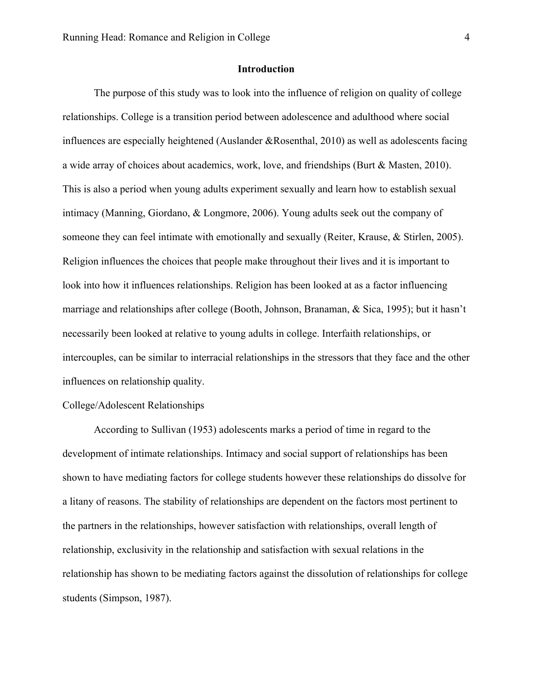## **Introduction**

The purpose of this study was to look into the influence of religion on quality of college relationships. College is a transition period between adolescence and adulthood where social influences are especially heightened (Auslander &Rosenthal, 2010) as well as adolescents facing a wide array of choices about academics, work, love, and friendships (Burt & Masten, 2010). This is also a period when young adults experiment sexually and learn how to establish sexual intimacy (Manning, Giordano, & Longmore, 2006). Young adults seek out the company of someone they can feel intimate with emotionally and sexually (Reiter, Krause, & Stirlen, 2005). Religion influences the choices that people make throughout their lives and it is important to look into how it influences relationships. Religion has been looked at as a factor influencing marriage and relationships after college (Booth, Johnson, Branaman, & Sica, 1995); but it hasn't necessarily been looked at relative to young adults in college. Interfaith relationships, or intercouples, can be similar to interracial relationships in the stressors that they face and the other influences on relationship quality.

### College/Adolescent Relationships

According to Sullivan (1953) adolescents marks a period of time in regard to the development of intimate relationships. Intimacy and social support of relationships has been shown to have mediating factors for college students however these relationships do dissolve for a litany of reasons. The stability of relationships are dependent on the factors most pertinent to the partners in the relationships, however satisfaction with relationships, overall length of relationship, exclusivity in the relationship and satisfaction with sexual relations in the relationship has shown to be mediating factors against the dissolution of relationships for college students (Simpson, 1987).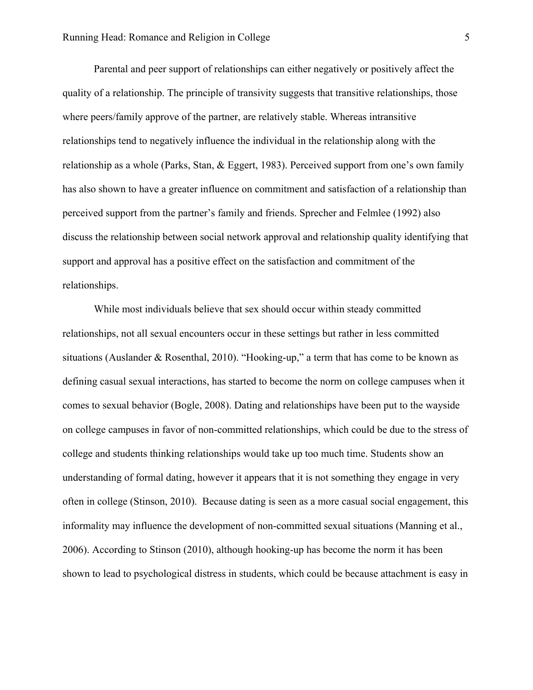Parental and peer support of relationships can either negatively or positively affect the quality of a relationship. The principle of transivity suggests that transitive relationships, those where peers/family approve of the partner, are relatively stable. Whereas intransitive relationships tend to negatively influence the individual in the relationship along with the relationship as a whole (Parks, Stan, & Eggert, 1983). Perceived support from one's own family has also shown to have a greater influence on commitment and satisfaction of a relationship than perceived support from the partner's family and friends. Sprecher and Felmlee (1992) also discuss the relationship between social network approval and relationship quality identifying that support and approval has a positive effect on the satisfaction and commitment of the relationships.

While most individuals believe that sex should occur within steady committed relationships, not all sexual encounters occur in these settings but rather in less committed situations (Auslander & Rosenthal, 2010). "Hooking-up," a term that has come to be known as defining casual sexual interactions, has started to become the norm on college campuses when it comes to sexual behavior (Bogle, 2008). Dating and relationships have been put to the wayside on college campuses in favor of non-committed relationships, which could be due to the stress of college and students thinking relationships would take up too much time. Students show an understanding of formal dating, however it appears that it is not something they engage in very often in college (Stinson, 2010). Because dating is seen as a more casual social engagement, this informality may influence the development of non-committed sexual situations (Manning et al., 2006). According to Stinson (2010), although hooking-up has become the norm it has been shown to lead to psychological distress in students, which could be because attachment is easy in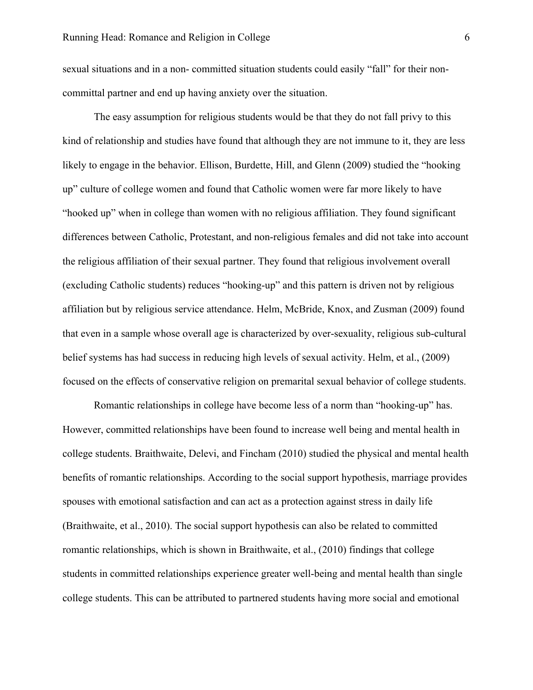sexual situations and in a non- committed situation students could easily "fall" for their noncommittal partner and end up having anxiety over the situation.

The easy assumption for religious students would be that they do not fall privy to this kind of relationship and studies have found that although they are not immune to it, they are less likely to engage in the behavior. Ellison, Burdette, Hill, and Glenn (2009) studied the "hooking up" culture of college women and found that Catholic women were far more likely to have "hooked up" when in college than women with no religious affiliation. They found significant differences between Catholic, Protestant, and non-religious females and did not take into account the religious affiliation of their sexual partner. They found that religious involvement overall (excluding Catholic students) reduces "hooking-up" and this pattern is driven not by religious affiliation but by religious service attendance. Helm, McBride, Knox, and Zusman (2009) found that even in a sample whose overall age is characterized by over-sexuality, religious sub-cultural belief systems has had success in reducing high levels of sexual activity. Helm, et al., (2009) focused on the effects of conservative religion on premarital sexual behavior of college students.

Romantic relationships in college have become less of a norm than "hooking-up" has. However, committed relationships have been found to increase well being and mental health in college students. Braithwaite, Delevi, and Fincham (2010) studied the physical and mental health benefits of romantic relationships. According to the social support hypothesis, marriage provides spouses with emotional satisfaction and can act as a protection against stress in daily life (Braithwaite, et al., 2010). The social support hypothesis can also be related to committed romantic relationships, which is shown in Braithwaite, et al., (2010) findings that college students in committed relationships experience greater well-being and mental health than single college students. This can be attributed to partnered students having more social and emotional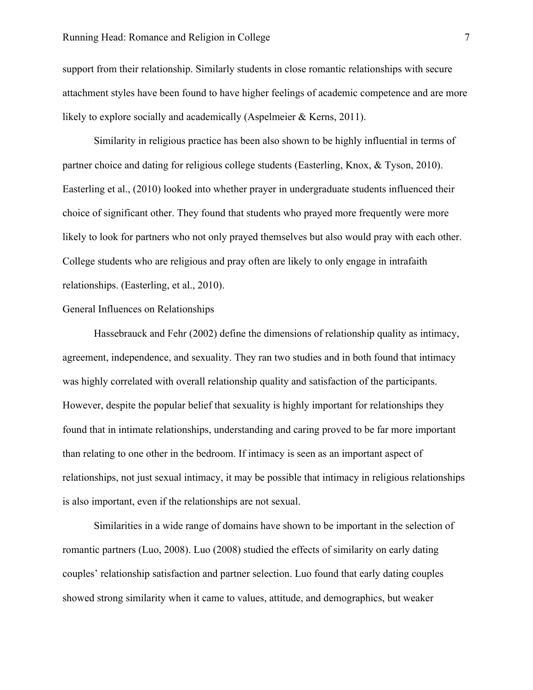## Running Head: Romance and Religion in College 7

support from their relationship. Similarly students in close romantic relationships with secure attachment styles have been found to have higher feelings of academic competence and are more likely to explore socially and academically (Aspelmeier & Kerns, 2011).

Similarity in religious practice has been also shown to be highly influential in terms of partner choice and dating for religious college students (Easterling, Knox, & Tyson, 2010). Easterling et al., (2010) looked into whether prayer in undergraduate students influenced their choice of significant other. They found that students who prayed more frequently were more likely to look for partners who not only prayed themselves but also would pray with each other. College students who are religious and pray often are likely to only engage in intrafaith relationships. (Easterling, et al., 2010).

## General Influences on Relationships

Hassebrauck and Fehr (2002) define the dimensions of relationship quality as intimacy, agreement, independence, and sexuality. They ran two studies and in both found that intimacy was highly correlated with overall relationship quality and satisfaction of the participants. However, despite the popular belief that sexuality is highly important for relationships they found that in intimate relationships, understanding and caring proved to be far more important than relating to one other in the bedroom. If intimacy is seen as an important aspect of relationships, not just sexual intimacy, it may be possible that intimacy in religious relationships is also important, even if the relationships are not sexual.

Similarities in a wide range of domains have shown to be important in the selection of romantic partners (Luo, 2008). Luo (2008) studied the effects of similarity on early dating couples' relationship satisfaction and partner selection. Luo found that early dating couples showed strong similarity when it came to values, attitude, and demographics, but weaker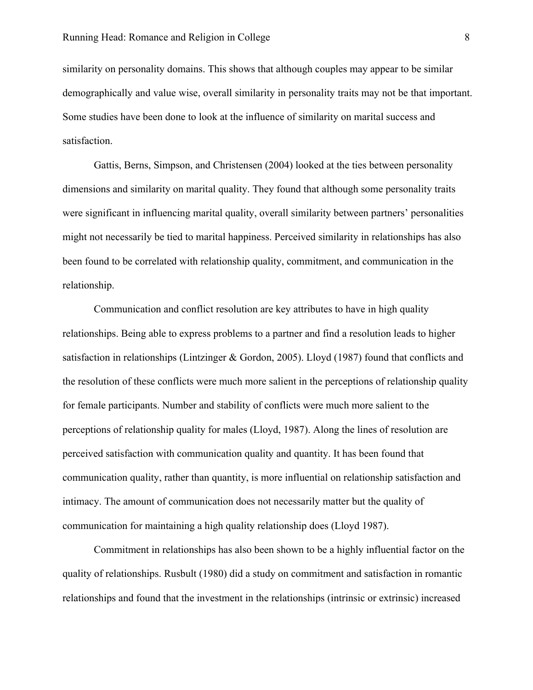similarity on personality domains. This shows that although couples may appear to be similar demographically and value wise, overall similarity in personality traits may not be that important. Some studies have been done to look at the influence of similarity on marital success and satisfaction.

Gattis, Berns, Simpson, and Christensen (2004) looked at the ties between personality dimensions and similarity on marital quality. They found that although some personality traits were significant in influencing marital quality, overall similarity between partners' personalities might not necessarily be tied to marital happiness. Perceived similarity in relationships has also been found to be correlated with relationship quality, commitment, and communication in the relationship.

Communication and conflict resolution are key attributes to have in high quality relationships. Being able to express problems to a partner and find a resolution leads to higher satisfaction in relationships (Lintzinger & Gordon, 2005). Lloyd (1987) found that conflicts and the resolution of these conflicts were much more salient in the perceptions of relationship quality for female participants. Number and stability of conflicts were much more salient to the perceptions of relationship quality for males (Lloyd, 1987). Along the lines of resolution are perceived satisfaction with communication quality and quantity. It has been found that communication quality, rather than quantity, is more influential on relationship satisfaction and intimacy. The amount of communication does not necessarily matter but the quality of communication for maintaining a high quality relationship does (Lloyd 1987).

Commitment in relationships has also been shown to be a highly influential factor on the quality of relationships. Rusbult (1980) did a study on commitment and satisfaction in romantic relationships and found that the investment in the relationships (intrinsic or extrinsic) increased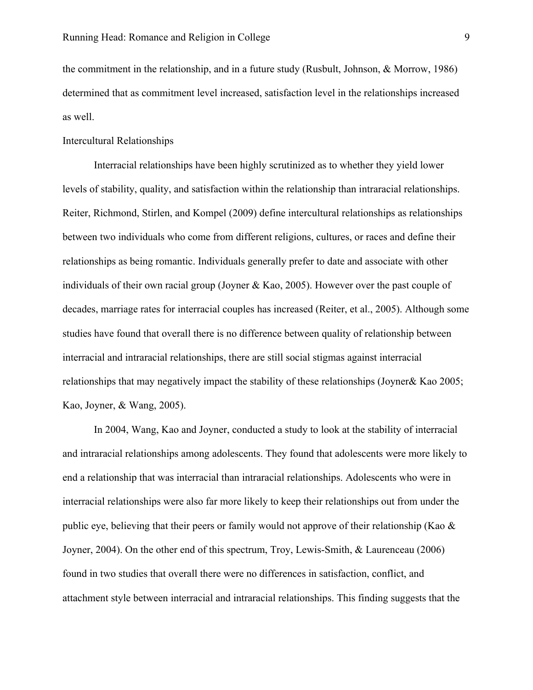the commitment in the relationship, and in a future study (Rusbult, Johnson, & Morrow, 1986) determined that as commitment level increased, satisfaction level in the relationships increased as well.

## Intercultural Relationships

Interracial relationships have been highly scrutinized as to whether they yield lower levels of stability, quality, and satisfaction within the relationship than intraracial relationships. Reiter, Richmond, Stirlen, and Kompel (2009) define intercultural relationships as relationships between two individuals who come from different religions, cultures, or races and define their relationships as being romantic. Individuals generally prefer to date and associate with other individuals of their own racial group (Joyner & Kao, 2005). However over the past couple of decades, marriage rates for interracial couples has increased (Reiter, et al., 2005). Although some studies have found that overall there is no difference between quality of relationship between interracial and intraracial relationships, there are still social stigmas against interracial relationships that may negatively impact the stability of these relationships (Joyner& Kao 2005; Kao, Joyner, & Wang, 2005).

In 2004, Wang, Kao and Joyner, conducted a study to look at the stability of interracial and intraracial relationships among adolescents. They found that adolescents were more likely to end a relationship that was interracial than intraracial relationships. Adolescents who were in interracial relationships were also far more likely to keep their relationships out from under the public eye, believing that their peers or family would not approve of their relationship (Kao & Joyner, 2004). On the other end of this spectrum, Troy, Lewis-Smith, & Laurenceau (2006) found in two studies that overall there were no differences in satisfaction, conflict, and attachment style between interracial and intraracial relationships. This finding suggests that the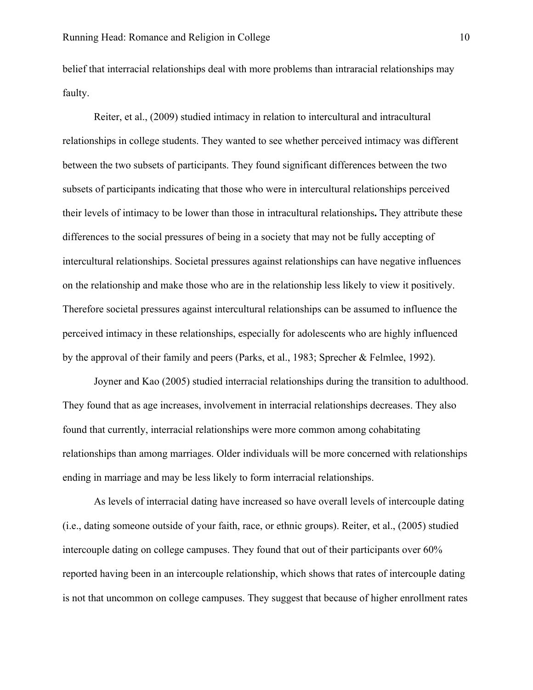belief that interracial relationships deal with more problems than intraracial relationships may faulty.

Reiter, et al., (2009) studied intimacy in relation to intercultural and intracultural relationships in college students. They wanted to see whether perceived intimacy was different between the two subsets of participants. They found significant differences between the two subsets of participants indicating that those who were in intercultural relationships perceived their levels of intimacy to be lower than those in intracultural relationships**.** They attribute these differences to the social pressures of being in a society that may not be fully accepting of intercultural relationships. Societal pressures against relationships can have negative influences on the relationship and make those who are in the relationship less likely to view it positively. Therefore societal pressures against intercultural relationships can be assumed to influence the perceived intimacy in these relationships, especially for adolescents who are highly influenced by the approval of their family and peers (Parks, et al., 1983; Sprecher & Felmlee, 1992).

Joyner and Kao (2005) studied interracial relationships during the transition to adulthood. They found that as age increases, involvement in interracial relationships decreases. They also found that currently, interracial relationships were more common among cohabitating relationships than among marriages. Older individuals will be more concerned with relationships ending in marriage and may be less likely to form interracial relationships.

As levels of interracial dating have increased so have overall levels of intercouple dating (i.e., dating someone outside of your faith, race, or ethnic groups). Reiter, et al., (2005) studied intercouple dating on college campuses. They found that out of their participants over 60% reported having been in an intercouple relationship, which shows that rates of intercouple dating is not that uncommon on college campuses. They suggest that because of higher enrollment rates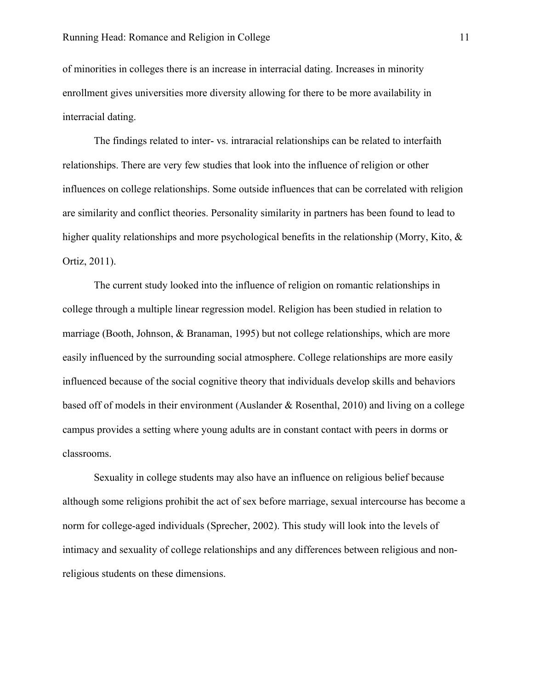of minorities in colleges there is an increase in interracial dating. Increases in minority enrollment gives universities more diversity allowing for there to be more availability in interracial dating.

The findings related to inter- vs. intraracial relationships can be related to interfaith relationships. There are very few studies that look into the influence of religion or other influences on college relationships. Some outside influences that can be correlated with religion are similarity and conflict theories. Personality similarity in partners has been found to lead to higher quality relationships and more psychological benefits in the relationship (Morry, Kito,  $\&$ Ortiz, 2011).

The current study looked into the influence of religion on romantic relationships in college through a multiple linear regression model. Religion has been studied in relation to marriage (Booth, Johnson, & Branaman, 1995) but not college relationships, which are more easily influenced by the surrounding social atmosphere. College relationships are more easily influenced because of the social cognitive theory that individuals develop skills and behaviors based off of models in their environment (Auslander & Rosenthal, 2010) and living on a college campus provides a setting where young adults are in constant contact with peers in dorms or classrooms.

Sexuality in college students may also have an influence on religious belief because although some religions prohibit the act of sex before marriage, sexual intercourse has become a norm for college-aged individuals (Sprecher, 2002). This study will look into the levels of intimacy and sexuality of college relationships and any differences between religious and nonreligious students on these dimensions.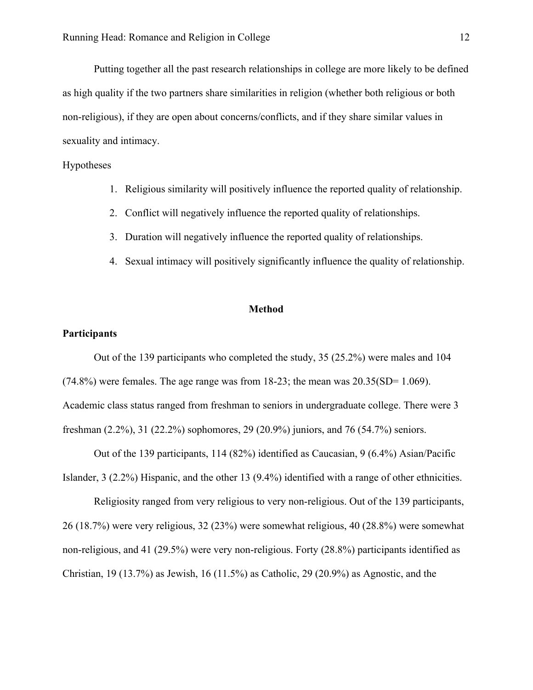Putting together all the past research relationships in college are more likely to be defined as high quality if the two partners share similarities in religion (whether both religious or both non-religious), if they are open about concerns/conflicts, and if they share similar values in sexuality and intimacy.

## Hypotheses

- 1. Religious similarity will positively influence the reported quality of relationship.
- 2. Conflict will negatively influence the reported quality of relationships.
- 3. Duration will negatively influence the reported quality of relationships.
- 4. Sexual intimacy will positively significantly influence the quality of relationship.

## **Method**

## **Participants**

Out of the 139 participants who completed the study, 35 (25.2%) were males and 104  $(74.8\%)$  were females. The age range was from 18-23; the mean was  $20.35(SD=1.069)$ . Academic class status ranged from freshman to seniors in undergraduate college. There were 3 freshman (2.2%), 31 (22.2%) sophomores, 29 (20.9%) juniors, and 76 (54.7%) seniors.

Out of the 139 participants, 114 (82%) identified as Caucasian, 9 (6.4%) Asian/Pacific Islander, 3 (2.2%) Hispanic, and the other 13 (9.4%) identified with a range of other ethnicities.

Religiosity ranged from very religious to very non-religious. Out of the 139 participants, 26 (18.7%) were very religious, 32 (23%) were somewhat religious, 40 (28.8%) were somewhat non-religious, and 41 (29.5%) were very non-religious. Forty (28.8%) participants identified as Christian, 19 (13.7%) as Jewish, 16 (11.5%) as Catholic, 29 (20.9%) as Agnostic, and the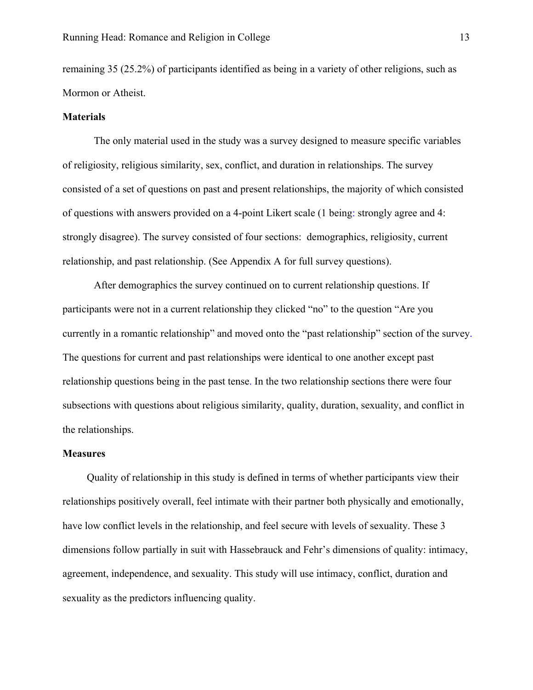remaining 35 (25.2%) of participants identified as being in a variety of other religions, such as Mormon or Atheist.

#### **Materials**

The only material used in the study was a survey designed to measure specific variables of religiosity, religious similarity, sex, conflict, and duration in relationships. The survey consisted of a set of questions on past and present relationships, the majority of which consisted of questions with answers provided on a 4-point Likert scale (1 being: strongly agree and 4: strongly disagree). The survey consisted of four sections: demographics, religiosity, current relationship, and past relationship. (See Appendix A for full survey questions).

After demographics the survey continued on to current relationship questions. If participants were not in a current relationship they clicked "no" to the question "Are you currently in a romantic relationship" and moved onto the "past relationship" section of the survey. The questions for current and past relationships were identical to one another except past relationship questions being in the past tense. In the two relationship sections there were four subsections with questions about religious similarity, quality, duration, sexuality, and conflict in the relationships.

#### **Measures**

Quality of relationship in this study is defined in terms of whether participants view their relationships positively overall, feel intimate with their partner both physically and emotionally, have low conflict levels in the relationship, and feel secure with levels of sexuality. These 3 dimensions follow partially in suit with Hassebrauck and Fehr's dimensions of quality: intimacy, agreement, independence, and sexuality. This study will use intimacy, conflict, duration and sexuality as the predictors influencing quality.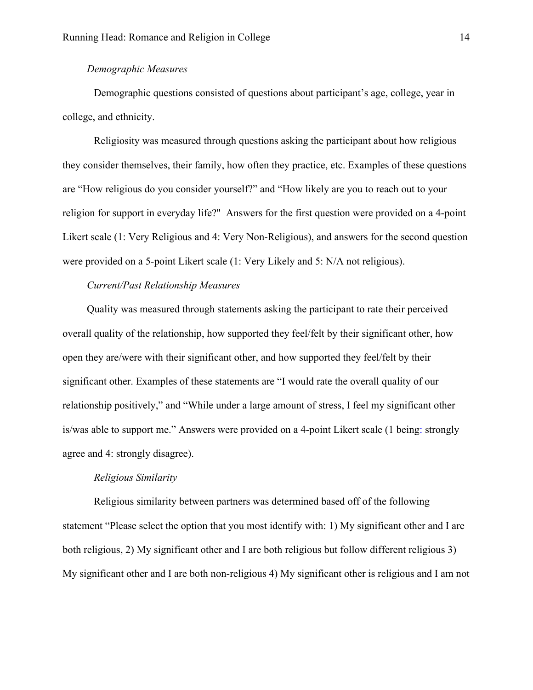## *Demographic Measures*

Demographic questions consisted of questions about participant's age, college, year in college, and ethnicity.

Religiosity was measured through questions asking the participant about how religious they consider themselves, their family, how often they practice, etc. Examples of these questions are "How religious do you consider yourself?" and "How likely are you to reach out to your religion for support in everyday life?" Answers for the first question were provided on a 4-point Likert scale (1: Very Religious and 4: Very Non-Religious), and answers for the second question were provided on a 5-point Likert scale (1: Very Likely and 5: N/A not religious).

## *Current/Past Relationship Measures*

Quality was measured through statements asking the participant to rate their perceived overall quality of the relationship, how supported they feel/felt by their significant other, how open they are/were with their significant other, and how supported they feel/felt by their significant other. Examples of these statements are "I would rate the overall quality of our relationship positively," and "While under a large amount of stress, I feel my significant other is/was able to support me." Answers were provided on a 4-point Likert scale (1 being: strongly agree and 4: strongly disagree).

#### *Religious Similarity*

Religious similarity between partners was determined based off of the following statement "Please select the option that you most identify with: 1) My significant other and I are both religious, 2) My significant other and I are both religious but follow different religious 3) My significant other and I are both non-religious 4) My significant other is religious and I am not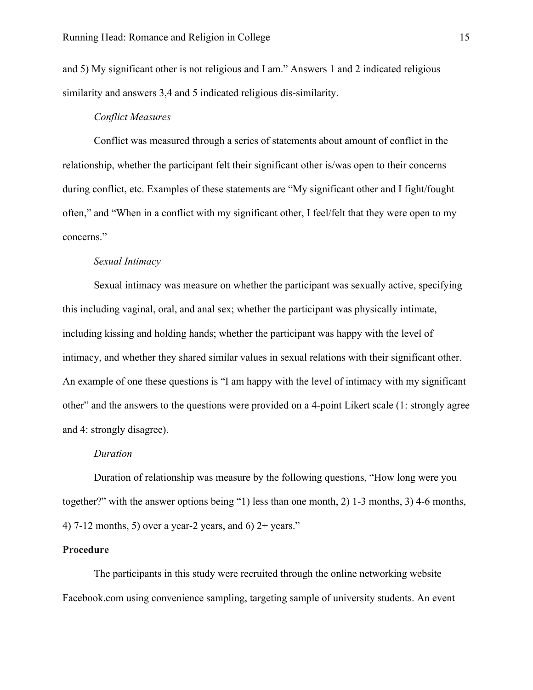and 5) My significant other is not religious and I am." Answers 1 and 2 indicated religious similarity and answers 3,4 and 5 indicated religious dis-similarity.

## *Conflict Measures*

Conflict was measured through a series of statements about amount of conflict in the relationship, whether the participant felt their significant other is/was open to their concerns during conflict, etc. Examples of these statements are "My significant other and I fight/fought often," and "When in a conflict with my significant other, I feel/felt that they were open to my concerns."

## *Sexual Intimacy*

Sexual intimacy was measure on whether the participant was sexually active, specifying this including vaginal, oral, and anal sex; whether the participant was physically intimate, including kissing and holding hands; whether the participant was happy with the level of intimacy, and whether they shared similar values in sexual relations with their significant other. An example of one these questions is "I am happy with the level of intimacy with my significant other" and the answers to the questions were provided on a 4-point Likert scale (1: strongly agree and 4: strongly disagree).

#### *Duration*

Duration of relationship was measure by the following questions, "How long were you together?" with the answer options being "1) less than one month, 2) 1-3 months, 3) 4-6 months, 4) 7-12 months, 5) over a year-2 years, and 6)  $2+$  years."

## **Procedure**

The participants in this study were recruited through the online networking website Facebook.com using convenience sampling, targeting sample of university students. An event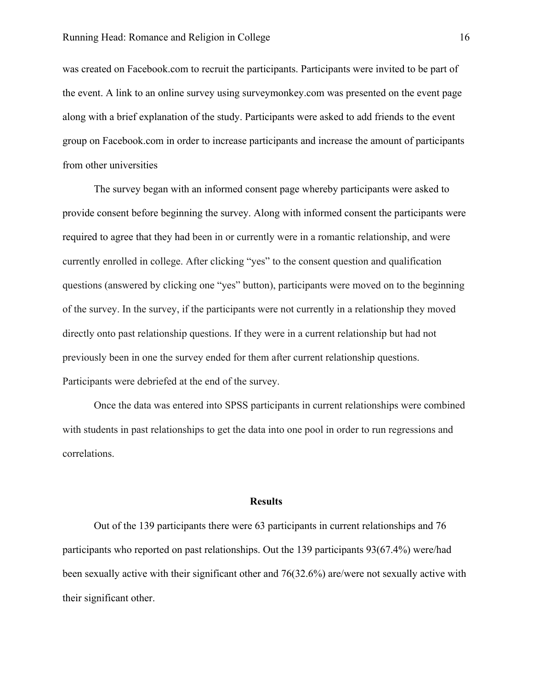was created on Facebook.com to recruit the participants. Participants were invited to be part of the event. A link to an online survey using surveymonkey.com was presented on the event page along with a brief explanation of the study. Participants were asked to add friends to the event group on Facebook.com in order to increase participants and increase the amount of participants from other universities

The survey began with an informed consent page whereby participants were asked to provide consent before beginning the survey. Along with informed consent the participants were required to agree that they had been in or currently were in a romantic relationship, and were currently enrolled in college. After clicking "yes" to the consent question and qualification questions (answered by clicking one "yes" button), participants were moved on to the beginning of the survey. In the survey, if the participants were not currently in a relationship they moved directly onto past relationship questions. If they were in a current relationship but had not previously been in one the survey ended for them after current relationship questions. Participants were debriefed at the end of the survey.

Once the data was entered into SPSS participants in current relationships were combined with students in past relationships to get the data into one pool in order to run regressions and correlations.

#### **Results**

Out of the 139 participants there were 63 participants in current relationships and 76 participants who reported on past relationships. Out the 139 participants 93(67.4%) were/had been sexually active with their significant other and 76(32.6%) are/were not sexually active with their significant other.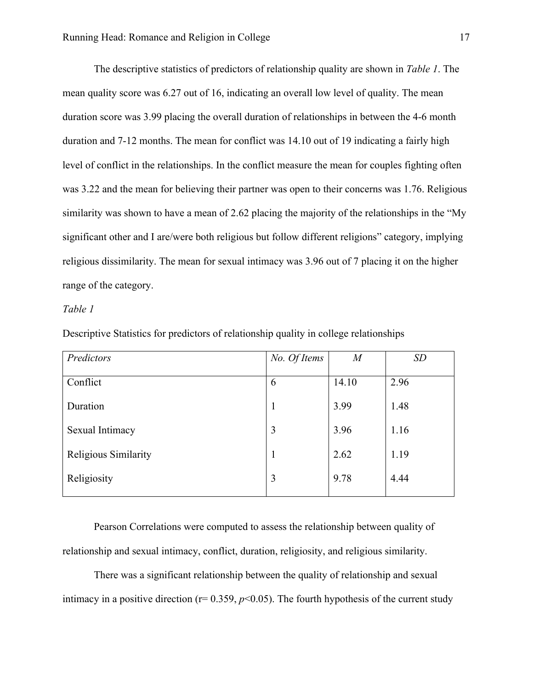The descriptive statistics of predictors of relationship quality are shown in *Table 1*. The mean quality score was 6.27 out of 16, indicating an overall low level of quality. The mean duration score was 3.99 placing the overall duration of relationships in between the 4-6 month duration and 7-12 months. The mean for conflict was 14.10 out of 19 indicating a fairly high level of conflict in the relationships. In the conflict measure the mean for couples fighting often was 3.22 and the mean for believing their partner was open to their concerns was 1.76. Religious similarity was shown to have a mean of 2.62 placing the majority of the relationships in the "My significant other and I are/were both religious but follow different religions" category, implying religious dissimilarity. The mean for sexual intimacy was 3.96 out of 7 placing it on the higher range of the category.

## *Table 1*

| Predictors           | No. Of Items | $\overline{M}$ | SD   |
|----------------------|--------------|----------------|------|
|                      |              |                |      |
| Conflict             | 6            | 14.10          | 2.96 |
| Duration             | 1            | 3.99           | 1.48 |
| Sexual Intimacy      | 3            | 3.96           | 1.16 |
| Religious Similarity | $\mathbf{1}$ | 2.62           | 1.19 |
| Religiosity          | 3            | 9.78           | 4.44 |
|                      |              |                |      |

Descriptive Statistics for predictors of relationship quality in college relationships

Pearson Correlations were computed to assess the relationship between quality of relationship and sexual intimacy, conflict, duration, religiosity, and religious similarity.

There was a significant relationship between the quality of relationship and sexual intimacy in a positive direction ( $r= 0.359$ ,  $p<0.05$ ). The fourth hypothesis of the current study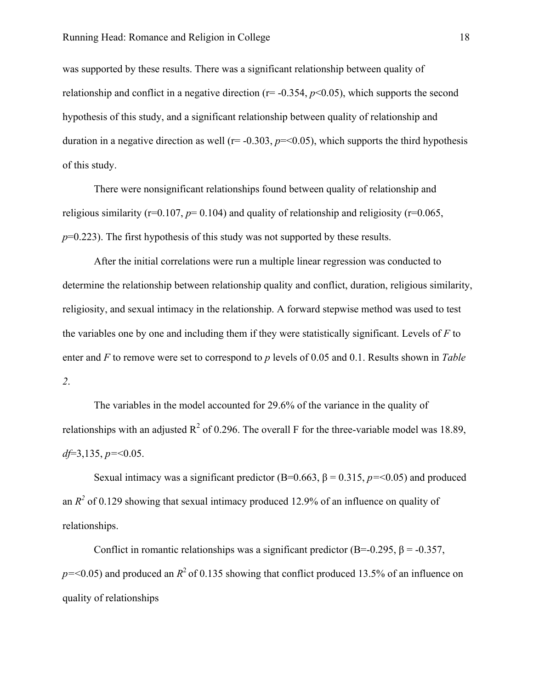was supported by these results. There was a significant relationship between quality of relationship and conflict in a negative direction  $(r= -0.354, p<0.05)$ , which supports the second hypothesis of this study, and a significant relationship between quality of relationship and duration in a negative direction as well ( $r = -0.303$ ,  $p = 0.05$ ), which supports the third hypothesis of this study.

There were nonsignificant relationships found between quality of relationship and religious similarity ( $r=0.107$ ,  $p=0.104$ ) and quality of relationship and religiosity ( $r=0.065$ , *p*=0.223). The first hypothesis of this study was not supported by these results.

After the initial correlations were run a multiple linear regression was conducted to determine the relationship between relationship quality and conflict, duration, religious similarity, religiosity, and sexual intimacy in the relationship. A forward stepwise method was used to test the variables one by one and including them if they were statistically significant. Levels of *F* to enter and *F* to remove were set to correspond to *p* levels of 0.05 and 0.1. Results shown in *Table 2*.

The variables in the model accounted for 29.6% of the variance in the quality of relationships with an adjusted  $R^2$  of 0.296. The overall F for the three-variable model was 18.89, *df*=3,135, *p=*<0.05.

Sexual intimacy was a significant predictor  $(B=0.663, \beta=0.315, p=<0.05)$  and produced an  $R^2$  of 0.129 showing that sexual intimacy produced 12.9% of an influence on quality of relationships.

Conflict in romantic relationships was a significant predictor (B=-0.295,  $\beta$  = -0.357,  $p = 0.05$ ) and produced an  $R^2$  of 0.135 showing that conflict produced 13.5% of an influence on quality of relationships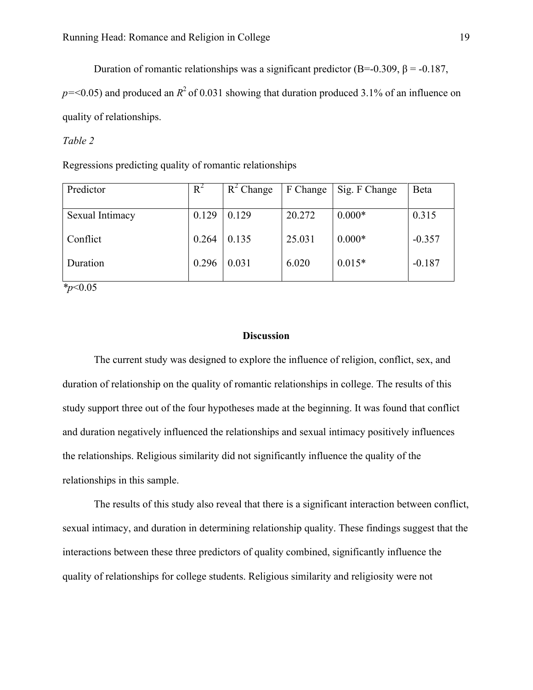Duration of romantic relationships was a significant predictor (B=-0.309, β = -0.187,

 $p = 0.05$ ) and produced an  $R^2$  of 0.031 showing that duration produced 3.1% of an influence on quality of relationships.

## *Table 2*

Regressions predicting quality of romantic relationships

| Predictor                              | $R^2$ | $R^2$ Change | F Change | Sig. F Change | Beta     |
|----------------------------------------|-------|--------------|----------|---------------|----------|
|                                        |       |              |          |               |          |
| Sexual Intimacy                        | 0.129 | 0.129        | 20.272   | $0.000*$      | 0.315    |
|                                        |       |              |          |               |          |
| Conflict                               | 0.264 | 0.135        | 25.031   | $0.000*$      | $-0.357$ |
|                                        |       |              |          |               |          |
| Duration                               | 0.296 | 0.031        | 6.020    | $0.015*$      | $-0.187$ |
|                                        |       |              |          |               |          |
| $\mathbf{a}$ $\mathbf{a}$ $\mathbf{b}$ |       |              |          |               |          |

*\*p*<0.05

## **Discussion**

The current study was designed to explore the influence of religion, conflict, sex, and duration of relationship on the quality of romantic relationships in college. The results of this study support three out of the four hypotheses made at the beginning. It was found that conflict and duration negatively influenced the relationships and sexual intimacy positively influences the relationships. Religious similarity did not significantly influence the quality of the relationships in this sample.

The results of this study also reveal that there is a significant interaction between conflict, sexual intimacy, and duration in determining relationship quality. These findings suggest that the interactions between these three predictors of quality combined, significantly influence the quality of relationships for college students. Religious similarity and religiosity were not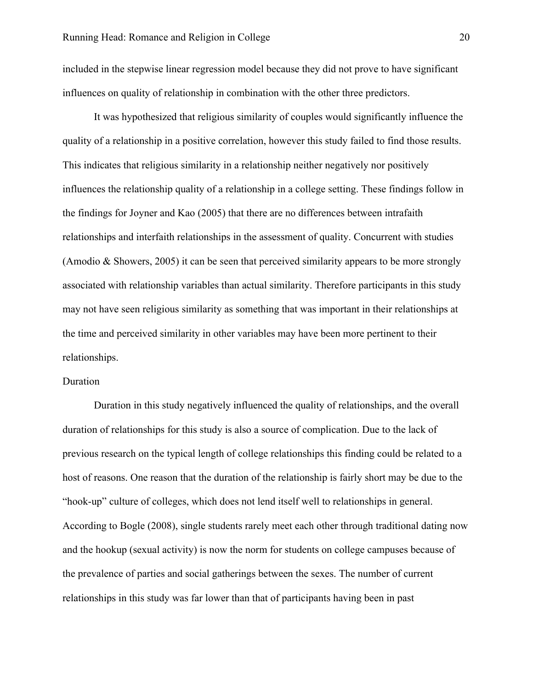included in the stepwise linear regression model because they did not prove to have significant influences on quality of relationship in combination with the other three predictors.

It was hypothesized that religious similarity of couples would significantly influence the quality of a relationship in a positive correlation, however this study failed to find those results. This indicates that religious similarity in a relationship neither negatively nor positively influences the relationship quality of a relationship in a college setting. These findings follow in the findings for Joyner and Kao (2005) that there are no differences between intrafaith relationships and interfaith relationships in the assessment of quality. Concurrent with studies (Amodio & Showers, 2005) it can be seen that perceived similarity appears to be more strongly associated with relationship variables than actual similarity. Therefore participants in this study may not have seen religious similarity as something that was important in their relationships at the time and perceived similarity in other variables may have been more pertinent to their relationships.

#### Duration

Duration in this study negatively influenced the quality of relationships, and the overall duration of relationships for this study is also a source of complication. Due to the lack of previous research on the typical length of college relationships this finding could be related to a host of reasons. One reason that the duration of the relationship is fairly short may be due to the "hook-up" culture of colleges, which does not lend itself well to relationships in general. According to Bogle (2008), single students rarely meet each other through traditional dating now and the hookup (sexual activity) is now the norm for students on college campuses because of the prevalence of parties and social gatherings between the sexes. The number of current relationships in this study was far lower than that of participants having been in past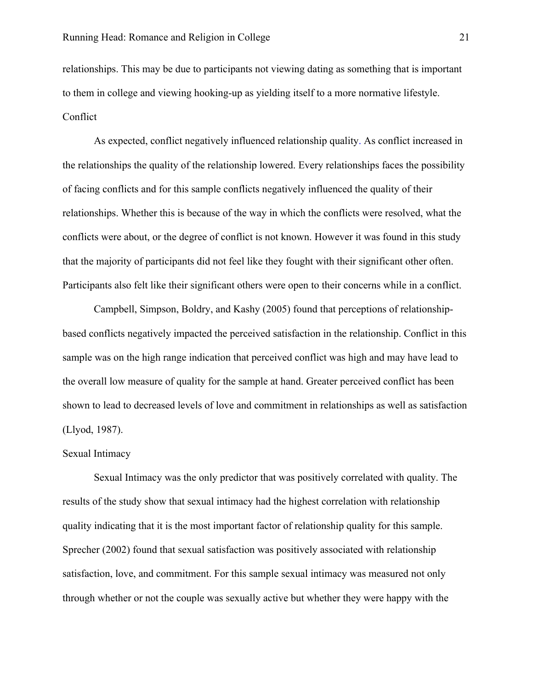relationships. This may be due to participants not viewing dating as something that is important to them in college and viewing hooking-up as yielding itself to a more normative lifestyle. Conflict

As expected, conflict negatively influenced relationship quality. As conflict increased in the relationships the quality of the relationship lowered. Every relationships faces the possibility of facing conflicts and for this sample conflicts negatively influenced the quality of their relationships. Whether this is because of the way in which the conflicts were resolved, what the conflicts were about, or the degree of conflict is not known. However it was found in this study that the majority of participants did not feel like they fought with their significant other often. Participants also felt like their significant others were open to their concerns while in a conflict.

Campbell, Simpson, Boldry, and Kashy (2005) found that perceptions of relationshipbased conflicts negatively impacted the perceived satisfaction in the relationship. Conflict in this sample was on the high range indication that perceived conflict was high and may have lead to the overall low measure of quality for the sample at hand. Greater perceived conflict has been shown to lead to decreased levels of love and commitment in relationships as well as satisfaction (Llyod, 1987).

#### Sexual Intimacy

Sexual Intimacy was the only predictor that was positively correlated with quality. The results of the study show that sexual intimacy had the highest correlation with relationship quality indicating that it is the most important factor of relationship quality for this sample. Sprecher (2002) found that sexual satisfaction was positively associated with relationship satisfaction, love, and commitment. For this sample sexual intimacy was measured not only through whether or not the couple was sexually active but whether they were happy with the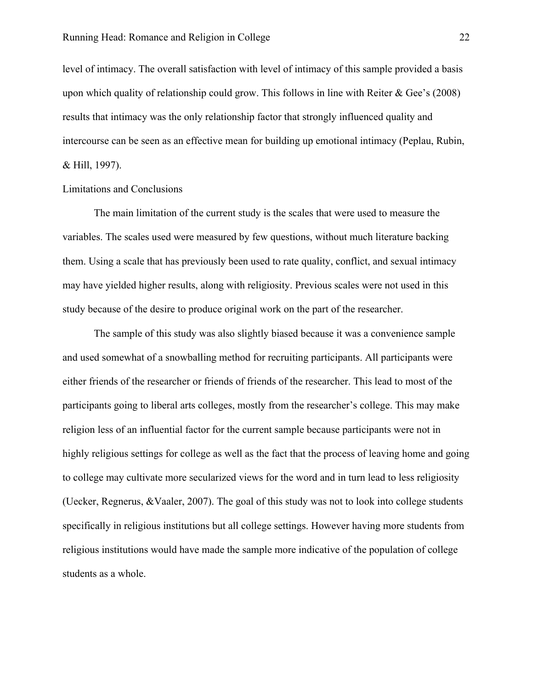level of intimacy. The overall satisfaction with level of intimacy of this sample provided a basis upon which quality of relationship could grow. This follows in line with Reiter  $\&$  Gee's (2008) results that intimacy was the only relationship factor that strongly influenced quality and intercourse can be seen as an effective mean for building up emotional intimacy (Peplau, Rubin, & Hill, 1997).

## Limitations and Conclusions

The main limitation of the current study is the scales that were used to measure the variables. The scales used were measured by few questions, without much literature backing them. Using a scale that has previously been used to rate quality, conflict, and sexual intimacy may have yielded higher results, along with religiosity. Previous scales were not used in this study because of the desire to produce original work on the part of the researcher.

The sample of this study was also slightly biased because it was a convenience sample and used somewhat of a snowballing method for recruiting participants. All participants were either friends of the researcher or friends of friends of the researcher. This lead to most of the participants going to liberal arts colleges, mostly from the researcher's college. This may make religion less of an influential factor for the current sample because participants were not in highly religious settings for college as well as the fact that the process of leaving home and going to college may cultivate more secularized views for the word and in turn lead to less religiosity (Uecker, Regnerus, &Vaaler, 2007). The goal of this study was not to look into college students specifically in religious institutions but all college settings. However having more students from religious institutions would have made the sample more indicative of the population of college students as a whole.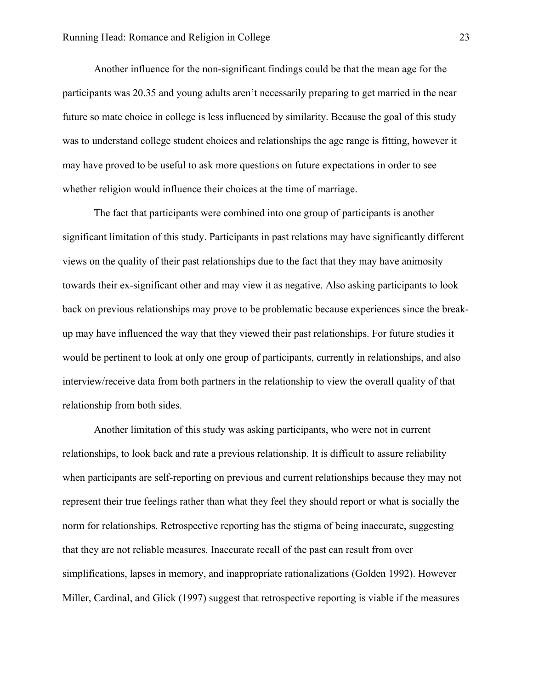Another influence for the non-significant findings could be that the mean age for the participants was 20.35 and young adults aren't necessarily preparing to get married in the near future so mate choice in college is less influenced by similarity. Because the goal of this study was to understand college student choices and relationships the age range is fitting, however it may have proved to be useful to ask more questions on future expectations in order to see whether religion would influence their choices at the time of marriage.

The fact that participants were combined into one group of participants is another significant limitation of this study. Participants in past relations may have significantly different views on the quality of their past relationships due to the fact that they may have animosity towards their ex-significant other and may view it as negative. Also asking participants to look back on previous relationships may prove to be problematic because experiences since the breakup may have influenced the way that they viewed their past relationships. For future studies it would be pertinent to look at only one group of participants, currently in relationships, and also interview/receive data from both partners in the relationship to view the overall quality of that relationship from both sides.

Another limitation of this study was asking participants, who were not in current relationships, to look back and rate a previous relationship. It is difficult to assure reliability when participants are self-reporting on previous and current relationships because they may not represent their true feelings rather than what they feel they should report or what is socially the norm for relationships. Retrospective reporting has the stigma of being inaccurate, suggesting that they are not reliable measures. Inaccurate recall of the past can result from over simplifications, lapses in memory, and inappropriate rationalizations (Golden 1992). However Miller, Cardinal, and Glick (1997) suggest that retrospective reporting is viable if the measures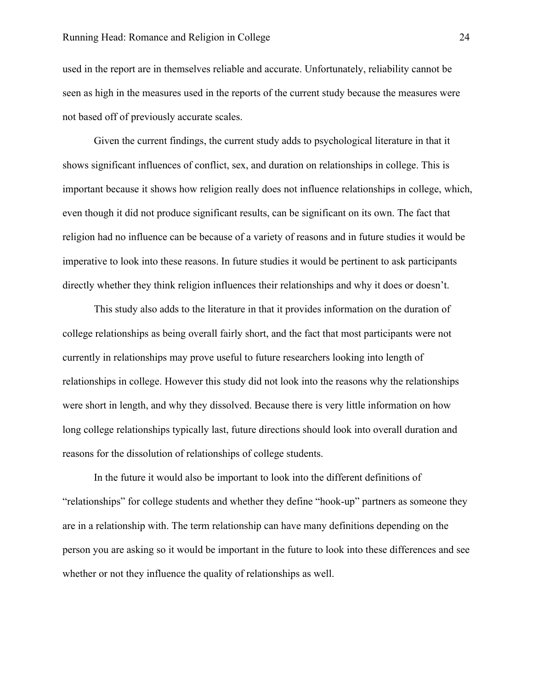used in the report are in themselves reliable and accurate. Unfortunately, reliability cannot be seen as high in the measures used in the reports of the current study because the measures were not based off of previously accurate scales.

Given the current findings, the current study adds to psychological literature in that it shows significant influences of conflict, sex, and duration on relationships in college. This is important because it shows how religion really does not influence relationships in college, which, even though it did not produce significant results, can be significant on its own. The fact that religion had no influence can be because of a variety of reasons and in future studies it would be imperative to look into these reasons. In future studies it would be pertinent to ask participants directly whether they think religion influences their relationships and why it does or doesn't.

This study also adds to the literature in that it provides information on the duration of college relationships as being overall fairly short, and the fact that most participants were not currently in relationships may prove useful to future researchers looking into length of relationships in college. However this study did not look into the reasons why the relationships were short in length, and why they dissolved. Because there is very little information on how long college relationships typically last, future directions should look into overall duration and reasons for the dissolution of relationships of college students.

In the future it would also be important to look into the different definitions of "relationships" for college students and whether they define "hook-up" partners as someone they are in a relationship with. The term relationship can have many definitions depending on the person you are asking so it would be important in the future to look into these differences and see whether or not they influence the quality of relationships as well.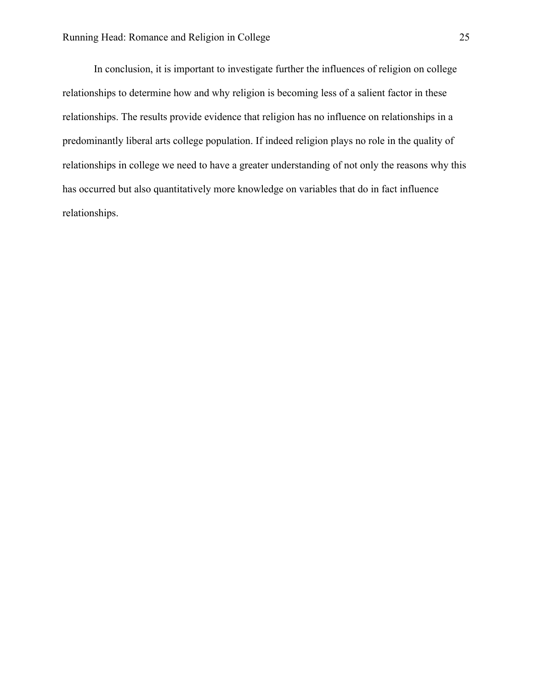In conclusion, it is important to investigate further the influences of religion on college relationships to determine how and why religion is becoming less of a salient factor in these relationships. The results provide evidence that religion has no influence on relationships in a predominantly liberal arts college population. If indeed religion plays no role in the quality of relationships in college we need to have a greater understanding of not only the reasons why this has occurred but also quantitatively more knowledge on variables that do in fact influence relationships.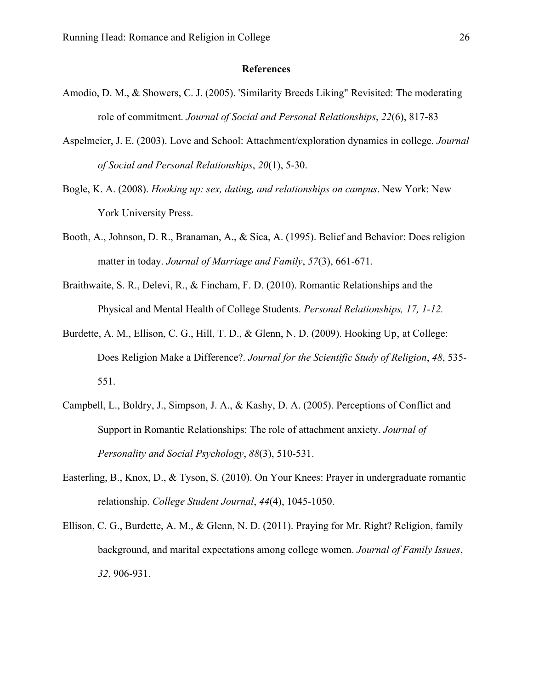#### **References**

- Amodio, D. M., & Showers, C. J. (2005). 'Similarity Breeds Liking" Revisited: The moderating role of commitment. *Journal of Social and Personal Relationships*, *22*(6), 817-83
- Aspelmeier, J. E. (2003). Love and School: Attachment/exploration dynamics in college. *Journal of Social and Personal Relationships*, *20*(1), 5-30.
- Bogle, K. A. (2008). *Hooking up: sex, dating, and relationships on campus*. New York: New York University Press.
- Booth, A., Johnson, D. R., Branaman, A., & Sica, A. (1995). Belief and Behavior: Does religion matter in today. *Journal of Marriage and Family*, *57*(3), 661-671.
- Braithwaite, S. R., Delevi, R., & Fincham, F. D. (2010). Romantic Relationships and the Physical and Mental Health of College Students. *Personal Relationships, 17, 1-12.*
- Burdette, A. M., Ellison, C. G., Hill, T. D., & Glenn, N. D. (2009). Hooking Up, at College: Does Religion Make a Difference?. *Journal for the Scientific Study of Religion*, *48*, 535- 551.
- Campbell, L., Boldry, J., Simpson, J. A., & Kashy, D. A. (2005). Perceptions of Conflict and Support in Romantic Relationships: The role of attachment anxiety. *Journal of Personality and Social Psychology*, *88*(3), 510-531.
- Easterling, B., Knox, D., & Tyson, S. (2010). On Your Knees: Prayer in undergraduate romantic relationship. *College Student Journal*, *44*(4), 1045-1050.
- Ellison, C. G., Burdette, A. M., & Glenn, N. D. (2011). Praying for Mr. Right? Religion, family background, and marital expectations among college women. *Journal of Family Issues*, *32*, 906-931.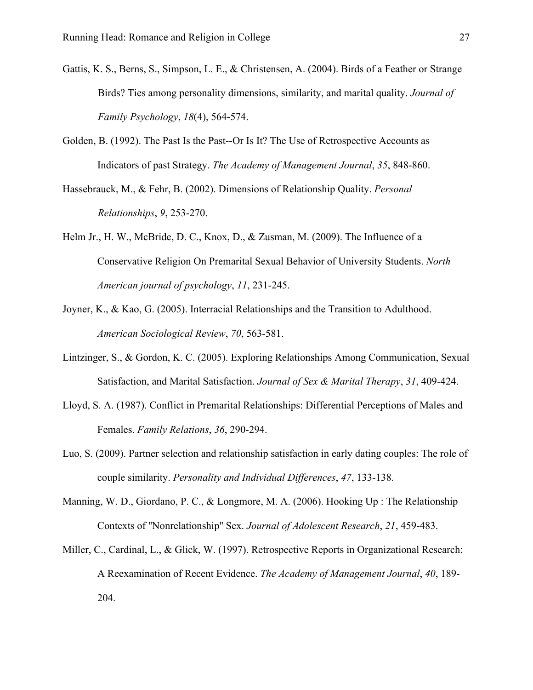- Gattis, K. S., Berns, S., Simpson, L. E., & Christensen, A. (2004). Birds of a Feather or Strange Birds? Ties among personality dimensions, similarity, and marital quality. *Journal of Family Psychology*, *18*(4), 564-574.
- Golden, B. (1992). The Past Is the Past--Or Is It? The Use of Retrospective Accounts as Indicators of past Strategy. *The Academy of Management Journal*, *35*, 848-860.
- Hassebrauck, M., & Fehr, B. (2002). Dimensions of Relationship Quality. *Personal Relationships*, *9*, 253-270.
- Helm Jr., H. W., McBride, D. C., Knox, D., & Zusman, M. (2009). The Influence of a Conservative Religion On Premarital Sexual Behavior of University Students. *North American journal of psychology*, *11*, 231-245.
- Joyner, K., & Kao, G. (2005). Interracial Relationships and the Transition to Adulthood. *American Sociological Review*, *70*, 563-581.
- Lintzinger, S., & Gordon, K. C. (2005). Exploring Relationships Among Communication, Sexual Satisfaction, and Marital Satisfaction. *Journal of Sex & Marital Therapy*, *31*, 409-424.
- Lloyd, S. A. (1987). Conflict in Premarital Relationships: Differential Perceptions of Males and Females. *Family Relations*, *36*, 290-294.
- Luo, S. (2009). Partner selection and relationship satisfaction in early dating couples: The role of couple similarity. *Personality and Individual Differences*, *47*, 133-138.
- Manning, W. D., Giordano, P. C., & Longmore, M. A. (2006). Hooking Up : The Relationship Contexts of ''Nonrelationship'' Sex. *Journal of Adolescent Research*, *21*, 459-483.
- Miller, C., Cardinal, L., & Glick, W. (1997). Retrospective Reports in Organizational Research: A Reexamination of Recent Evidence. *The Academy of Management Journal*, *40*, 189- 204.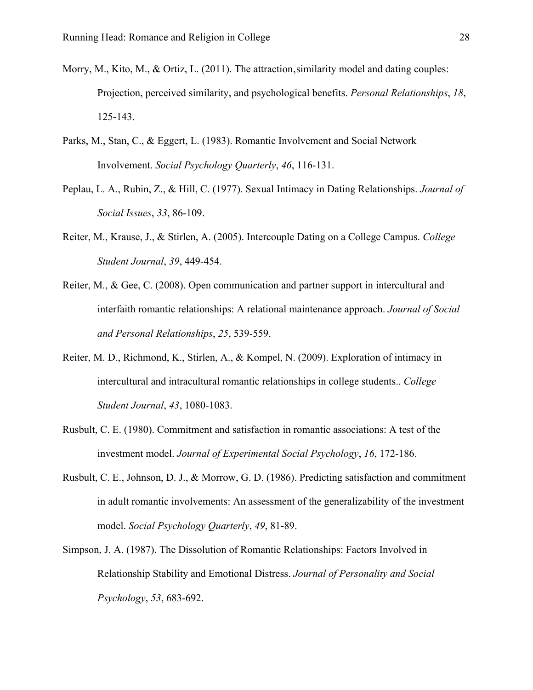- Morry, M., Kito, M., & Ortiz, L. (2011). The attraction, similarity model and dating couples: Projection, perceived similarity, and psychological benefits. *Personal Relationships*, *18*, 125-143.
- Parks, M., Stan, C., & Eggert, L. (1983). Romantic Involvement and Social Network Involvement. *Social Psychology Quarterly*, *46*, 116-131.
- Peplau, L. A., Rubin, Z., & Hill, C. (1977). Sexual Intimacy in Dating Relationships. *Journal of Social Issues*, *33*, 86-109.
- Reiter, M., Krause, J., & Stirlen, A. (2005). Intercouple Dating on a College Campus. *College Student Journal*, *39*, 449-454.
- Reiter, M., & Gee, C. (2008). Open communication and partner support in intercultural and interfaith romantic relationships: A relational maintenance approach. *Journal of Social and Personal Relationships*, *25*, 539-559.
- Reiter, M. D., Richmond, K., Stirlen, A., & Kompel, N. (2009). Exploration of intimacy in intercultural and intracultural romantic relationships in college students.. *College Student Journal*, *43*, 1080-1083.
- Rusbult, C. E. (1980). Commitment and satisfaction in romantic associations: A test of the investment model. *Journal of Experimental Social Psychology*, *16*, 172-186.
- Rusbult, C. E., Johnson, D. J., & Morrow, G. D. (1986). Predicting satisfaction and commitment in adult romantic involvements: An assessment of the generalizability of the investment model. *Social Psychology Quarterly*, *49*, 81-89.
- Simpson, J. A. (1987). The Dissolution of Romantic Relationships: Factors Involved in Relationship Stability and Emotional Distress. *Journal of Personality and Social Psychology*, *53*, 683-692.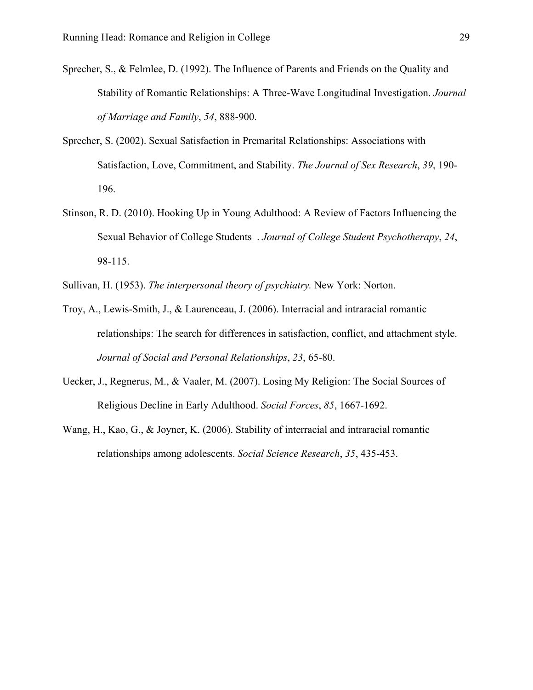- Sprecher, S., & Felmlee, D. (1992). The Influence of Parents and Friends on the Quality and Stability of Romantic Relationships: A Three-Wave Longitudinal Investigation. *Journal of Marriage and Family*, *54*, 888-900.
- Sprecher, S. (2002). Sexual Satisfaction in Premarital Relationships: Associations with Satisfaction, Love, Commitment, and Stability. *The Journal of Sex Research*, *39*, 190- 196.
- Stinson, R. D. (2010). Hooking Up in Young Adulthood: A Review of Factors Influencing the Sexual Behavior of College Students . *Journal of College Student Psychotherapy*, *24*, 98-115.
- Sullivan, H. (1953). *The interpersonal theory of psychiatry.* New York: Norton.
- Troy, A., Lewis-Smith, J., & Laurenceau, J. (2006). Interracial and intraracial romantic relationships: The search for differences in satisfaction, conflict, and attachment style. *Journal of Social and Personal Relationships*, *23*, 65-80.
- Uecker, J., Regnerus, M., & Vaaler, M. (2007). Losing My Religion: The Social Sources of Religious Decline in Early Adulthood. *Social Forces*, *85*, 1667-1692.
- Wang, H., Kao, G., & Joyner, K. (2006). Stability of interracial and intraracial romantic relationships among adolescents. *Social Science Research*, *35*, 435-453.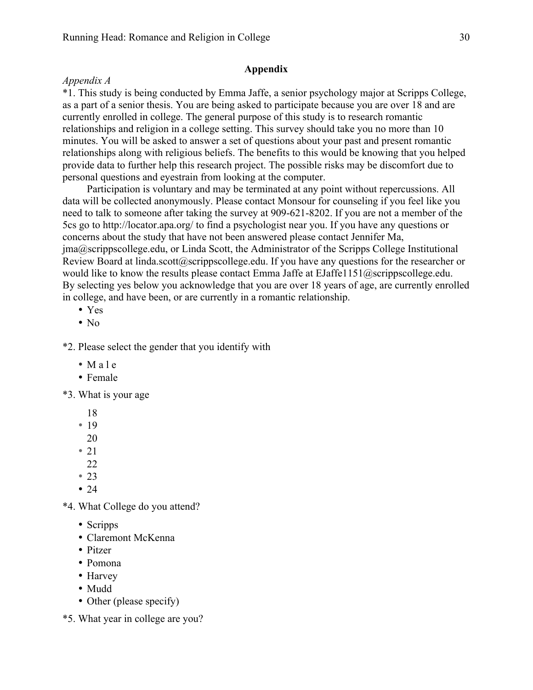## **Appendix**

## *Appendix A*

\*1. This study is being conducted by Emma Jaffe, a senior psychology major at Scripps College, as a part of a senior thesis. You are being asked to participate because you are over 18 and are currently enrolled in college. The general purpose of this study is to research romantic relationships and religion in a college setting. This survey should take you no more than 10 minutes. You will be asked to answer a set of questions about your past and present romantic relationships along with religious beliefs. The benefits to this would be knowing that you helped provide data to further help this research project. The possible risks may be discomfort due to personal questions and eyestrain from looking at the computer.

Participation is voluntary and may be terminated at any point without repercussions. All data will be collected anonymously. Please contact Monsour for counseling if you feel like you need to talk to someone after taking the survey at 909-621-8202. If you are not a member of the 5cs go to http://locator.apa.org/ to find a psychologist near you. If you have any questions or concerns about the study that have not been answered please contact Jennifer Ma, jma@scrippscollege.edu, or Linda Scott, the Administrator of the Scripps College Institutional Review Board at linda.scott@scrippscollege.edu. If you have any questions for the researcher or would like to know the results please contact Emma Jaffe at EJaffe1151@scrippscollege.edu. By selecting yes below you acknowledge that you are over 18 years of age, are currently enrolled in college, and have been, or are currently in a romantic relationship.

- Yes
- $\bullet$  No

\*2. Please select the gender that you identify with

- Male
- Female

\*3. What is your age

- 18
- 19
- 20
- $\cdot$  21
- 22
- 23
- $24$

\*4. What College do you attend?

- Scripps
- Claremont McKenna
- Pitzer
- Pomona
- Harvey
- Mudd
- Other (please specify)
- \*5. What year in college are you?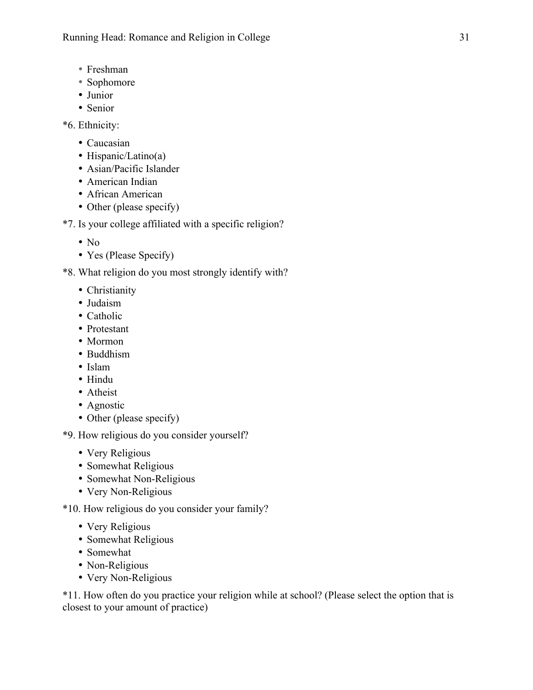- Freshman
- Sophomore
- Junior
- Senior

```
*6. Ethnicity:
```
- Caucasian
- Hispanic/Latino(a)
- Asian/Pacific Islander
- American Indian
- African American
- Other (please specify)

```
*7. Is your college affiliated with a specific religion?
```
- $\cdot$  No
- Yes (Please Specify)

\*8. What religion do you most strongly identify with?

- Christianity
- Judaism
- Catholic
- Protestant
- Mormon
- Buddhism
- Islam
- Hindu
- Atheist
- Agnostic
- Other (please specify)

\*9. How religious do you consider yourself?

- Very Religious
- Somewhat Religious
- Somewhat Non-Religious
- Very Non-Religious

\*10. How religious do you consider your family?

- Very Religious
- Somewhat Religious
- Somewhat
- Non-Religious
- Very Non-Religious

\*11. How often do you practice your religion while at school? (Please select the option that is closest to your amount of practice)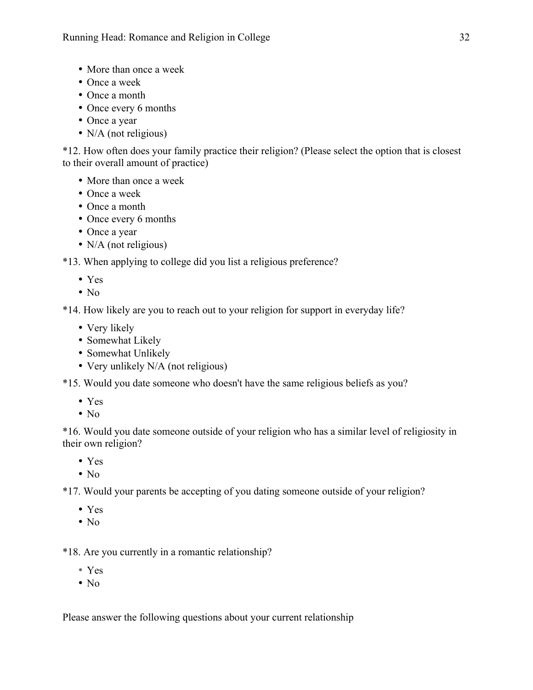- More than once a week
- Once a week
- Once a month
- Once every 6 months
- Once a year
- N/A (not religious)

\*12. How often does your family practice their religion? (Please select the option that is closest to their overall amount of practice)

- More than once a week
- Once a week
- Once a month
- Once every 6 months
- Once a year
- N/A (not religious)

\*13. When applying to college did you list a religious preference?

- Yes
- $\bullet$  No

\*14. How likely are you to reach out to your religion for support in everyday life?

- Very likely
- Somewhat Likely
- Somewhat Unlikely
- Very unlikely N/A (not religious)

\*15. Would you date someone who doesn't have the same religious beliefs as you?

- Yes
- $\cdot$  No

\*16. Would you date someone outside of your religion who has a similar level of religiosity in their own religion?

- Yes
- No

\*17. Would your parents be accepting of you dating someone outside of your religion?

- Yes
- No

\*18. Are you currently in a romantic relationship?

- Yes
- $\bullet$  No

Please answer the following questions about your current relationship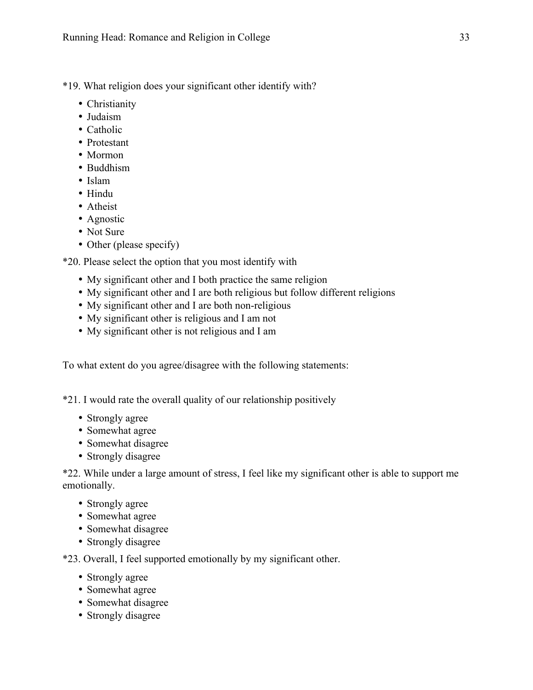\*19. What religion does your significant other identify with?

- Christianity
- Judaism
- Catholic
- Protestant
- Mormon
- Buddhism
- Islam
- Hindu
- Atheist
- Agnostic
- Not Sure
- Other (please specify)

\*20. Please select the option that you most identify with

- My significant other and I both practice the same religion
- My significant other and I are both religious but follow different religions
- My significant other and I are both non-religious
- My significant other is religious and I am not
- My significant other is not religious and I am

To what extent do you agree/disagree with the following statements:

\*21. I would rate the overall quality of our relationship positively

- Strongly agree
- Somewhat agree
- Somewhat disagree
- Strongly disagree

\*22. While under a large amount of stress, I feel like my significant other is able to support me emotionally.

- Strongly agree
- Somewhat agree
- Somewhat disagree
- Strongly disagree

\*23. Overall, I feel supported emotionally by my significant other.

- Strongly agree
- Somewhat agree
- Somewhat disagree
- Strongly disagree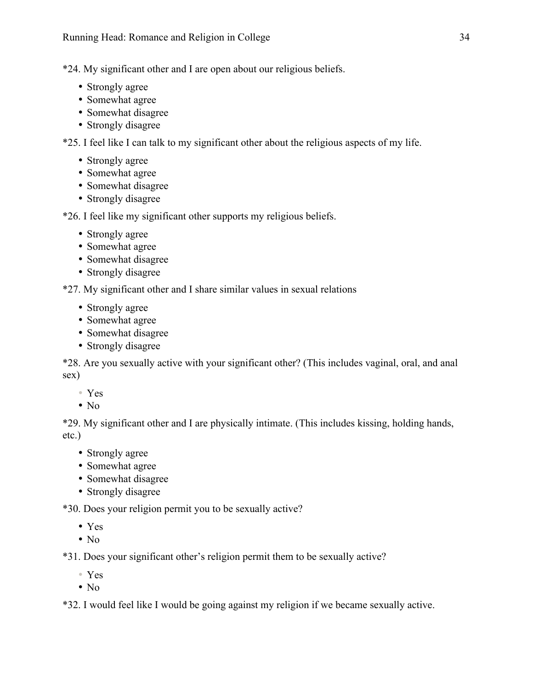\*24. My significant other and I are open about our religious beliefs.

- Strongly agree
- Somewhat agree
- Somewhat disagree
- Strongly disagree

\*25. I feel like I can talk to my significant other about the religious aspects of my life.

- Strongly agree
- Somewhat agree
- Somewhat disagree
- Strongly disagree

\*26. I feel like my significant other supports my religious beliefs.

- Strongly agree
- Somewhat agree
- Somewhat disagree
- Strongly disagree

\*27. My significant other and I share similar values in sexual relations

- Strongly agree
- Somewhat agree
- Somewhat disagree
- Strongly disagree

\*28. Are you sexually active with your significant other? (This includes vaginal, oral, and anal sex)

- Yes
- $\bullet$  No

\*29. My significant other and I are physically intimate. (This includes kissing, holding hands, etc.)

- Strongly agree
- Somewhat agree
- Somewhat disagree
- Strongly disagree

\*30. Does your religion permit you to be sexually active?

- Yes
- $\cdot$  No

\*31. Does your significant other's religion permit them to be sexually active?

- Yes
- $\bullet$  No

\*32. I would feel like I would be going against my religion if we became sexually active.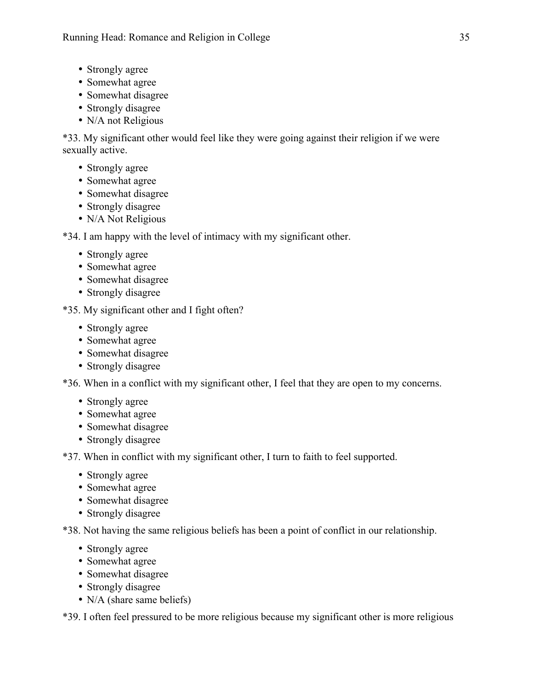- Strongly agree
- Somewhat agree
- Somewhat disagree
- Strongly disagree
- N/A not Religious

\*33. My significant other would feel like they were going against their religion if we were sexually active.

- Strongly agree
- Somewhat agree
- Somewhat disagree
- Strongly disagree
- N/A Not Religious

\*34. I am happy with the level of intimacy with my significant other.

- Strongly agree
- Somewhat agree
- Somewhat disagree
- Strongly disagree

\*35. My significant other and I fight often?

- Strongly agree
- Somewhat agree
- Somewhat disagree
- Strongly disagree

\*36. When in a conflict with my significant other, I feel that they are open to my concerns.

- Strongly agree
- Somewhat agree
- Somewhat disagree
- Strongly disagree

\*37. When in conflict with my significant other, I turn to faith to feel supported.

- Strongly agree
- Somewhat agree
- Somewhat disagree
- Strongly disagree

\*38. Not having the same religious beliefs has been a point of conflict in our relationship.

- Strongly agree
- Somewhat agree
- Somewhat disagree
- Strongly disagree
- N/A (share same beliefs)

\*39. I often feel pressured to be more religious because my significant other is more religious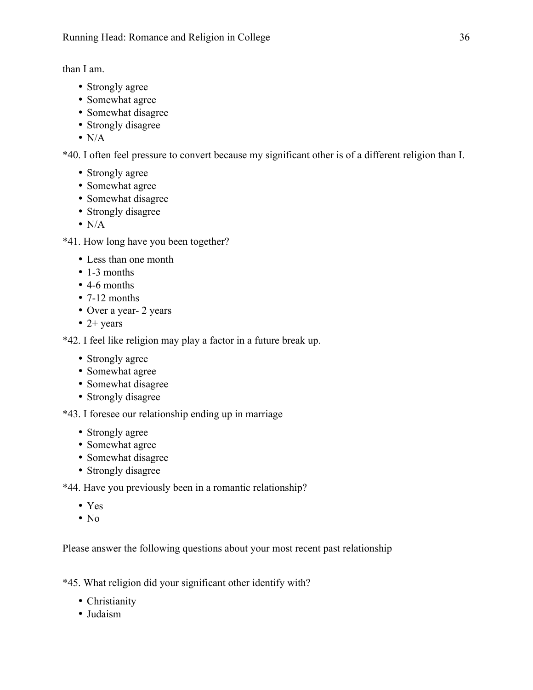than I am.

- Strongly agree
- Somewhat agree
- Somewhat disagree
- Strongly disagree
- $\bullet$  N/A

\*40. I often feel pressure to convert because my significant other is of a different religion than I.

- Strongly agree
- Somewhat agree
- Somewhat disagree
- Strongly disagree
- $\bullet$  N/A

\*41. How long have you been together?

- Less than one month
- 1-3 months
- 4-6 months
- 7-12 months
- Over a year- 2 years
- $\bullet$  2+ years

\*42. I feel like religion may play a factor in a future break up.

- Strongly agree
- Somewhat agree
- Somewhat disagree
- Strongly disagree

\*43. I foresee our relationship ending up in marriage

- Strongly agree
- Somewhat agree
- Somewhat disagree
- Strongly disagree

\*44. Have you previously been in a romantic relationship?

- Yes
- $\bullet$  No

Please answer the following questions about your most recent past relationship

\*45. What religion did your significant other identify with?

- Christianity
- Judaism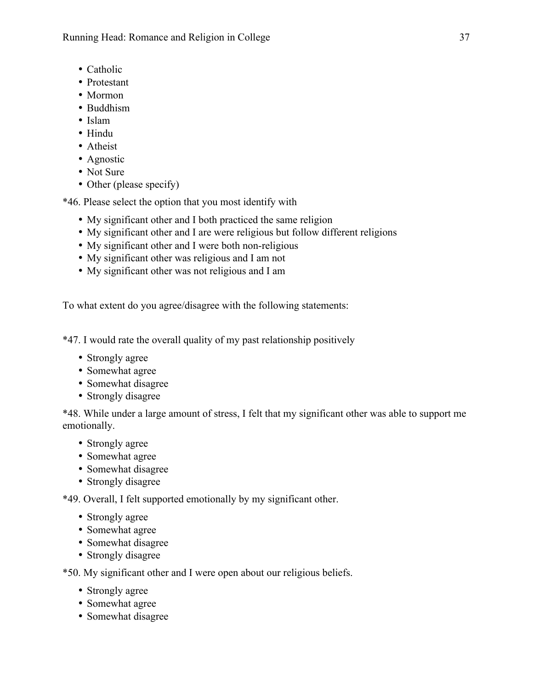Running Head: Romance and Religion in College 37

- Catholic
- Protestant
- Mormon
- Buddhism
- Islam
- Hindu
- Atheist
- Agnostic
- Not Sure
- Other (please specify)

\*46. Please select the option that you most identify with

- My significant other and I both practiced the same religion
- My significant other and I are were religious but follow different religions
- My significant other and I were both non-religious
- My significant other was religious and I am not
- My significant other was not religious and I am

To what extent do you agree/disagree with the following statements:

\*47. I would rate the overall quality of my past relationship positively

- Strongly agree
- Somewhat agree
- Somewhat disagree
- Strongly disagree

\*48. While under a large amount of stress, I felt that my significant other was able to support me emotionally.

- Strongly agree
- Somewhat agree
- Somewhat disagree
- Strongly disagree

\*49. Overall, I felt supported emotionally by my significant other.

- Strongly agree
- Somewhat agree
- Somewhat disagree
- Strongly disagree

\*50. My significant other and I were open about our religious beliefs.

- Strongly agree
- Somewhat agree
- Somewhat disagree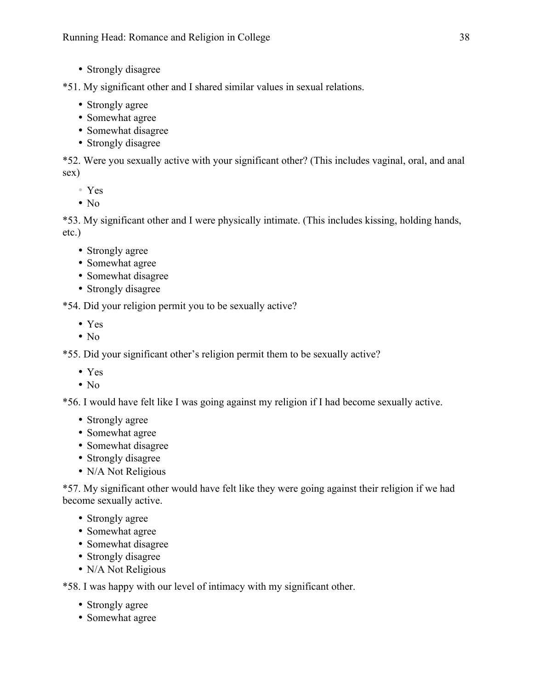• Strongly disagree

\*51. My significant other and I shared similar values in sexual relations.

- Strongly agree
- Somewhat agree
- Somewhat disagree
- Strongly disagree

\*52. Were you sexually active with your significant other? (This includes vaginal, oral, and anal sex)

- Yes
- $\bullet$  No

\*53. My significant other and I were physically intimate. (This includes kissing, holding hands, etc.)

- Strongly agree
- Somewhat agree
- Somewhat disagree
- Strongly disagree

\*54. Did your religion permit you to be sexually active?

- Yes
- $\bullet$  No

\*55. Did your significant other's religion permit them to be sexually active? \

- Yes
- $\cdot$  No

\*56. I would have felt like I was going against my religion if I had become sexually active.

- Strongly agree
- Somewhat agree
- Somewhat disagree
- Strongly disagree
- N/A Not Religious

\*57. My significant other would have felt like they were going against their religion if we had become sexually active.

- Strongly agree
- Somewhat agree
- Somewhat disagree
- Strongly disagree
- N/A Not Religious

\*58. I was happy with our level of intimacy with my significant other.

- Strongly agree
- Somewhat agree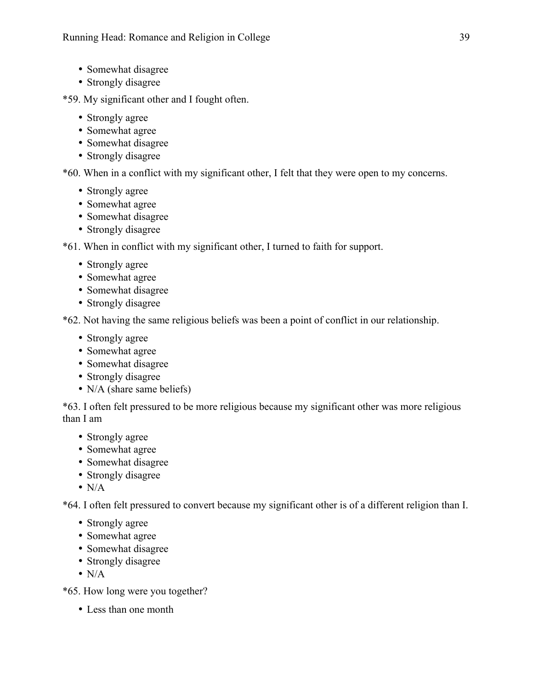- Somewhat disagree
- Strongly disagree
- \*59. My significant other and I fought often.
	- Strongly agree
	- Somewhat agree
	- Somewhat disagree
	- Strongly disagree

\*60. When in a conflict with my significant other, I felt that they were open to my concerns.

- Strongly agree
- Somewhat agree
- Somewhat disagree
- Strongly disagree

\*61. When in conflict with my significant other, I turned to faith for support.

- Strongly agree
- Somewhat agree
- Somewhat disagree
- Strongly disagree

\*62. Not having the same religious beliefs was been a point of conflict in our relationship.

- Strongly agree
- Somewhat agree
- Somewhat disagree
- Strongly disagree
- N/A (share same beliefs)

\*63. I often felt pressured to be more religious because my significant other was more religious than I am

- Strongly agree
- Somewhat agree
- Somewhat disagree
- Strongly disagree
- $\bullet$  N/A

\*64. I often felt pressured to convert because my significant other is of a different religion than I.

- Strongly agree
- Somewhat agree
- Somewhat disagree
- Strongly disagree
- $\bullet$  N/A

\*65. How long were you together?

• Less than one month